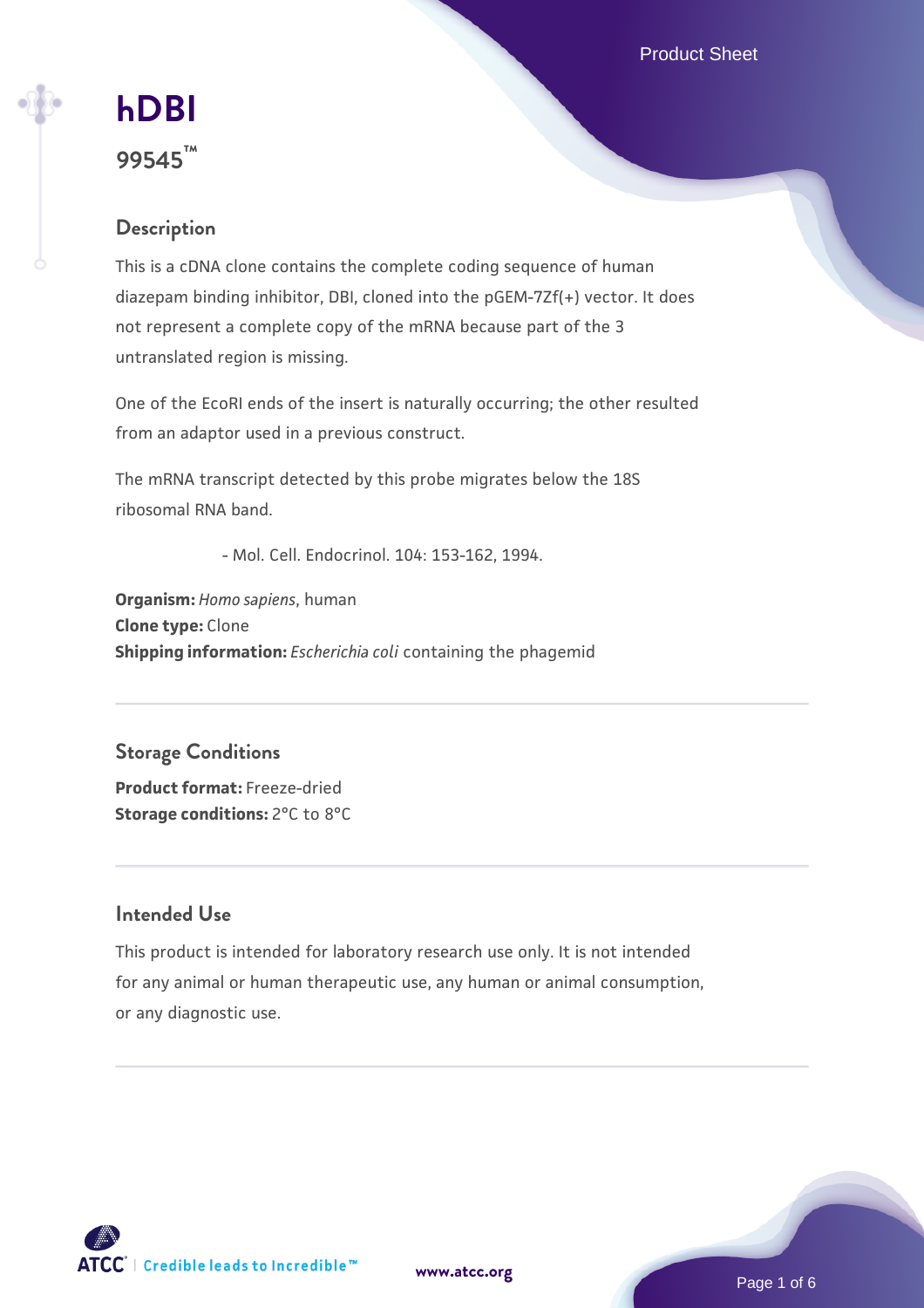Product Sheet



# **[hDBI](https://www.atcc.org/products/99545) 99545™**

# **Description**

This is a cDNA clone contains the complete coding sequence of human diazepam binding inhibitor, DBI, cloned into the pGEM-7Zf(+) vector. It does not represent a complete copy of the mRNA because part of the 3 untranslated region is missing.

One of the EcoRI ends of the insert is naturally occurring; the other resulted from an adaptor used in a previous construct.

The mRNA transcript detected by this probe migrates below the 18S ribosomal RNA band.

- Mol. Cell. Endocrinol. 104: 153-162, 1994.

**Organism:** *Homo sapiens*, human **Clone type:** Clone **Shipping information:** *Escherichia coli* containing the phagemid

# **Storage Conditions**

**Product format:** Freeze-dried **Storage conditions:** 2°C to 8°C

### **Intended Use**

This product is intended for laboratory research use only. It is not intended for any animal or human therapeutic use, any human or animal consumption, or any diagnostic use.

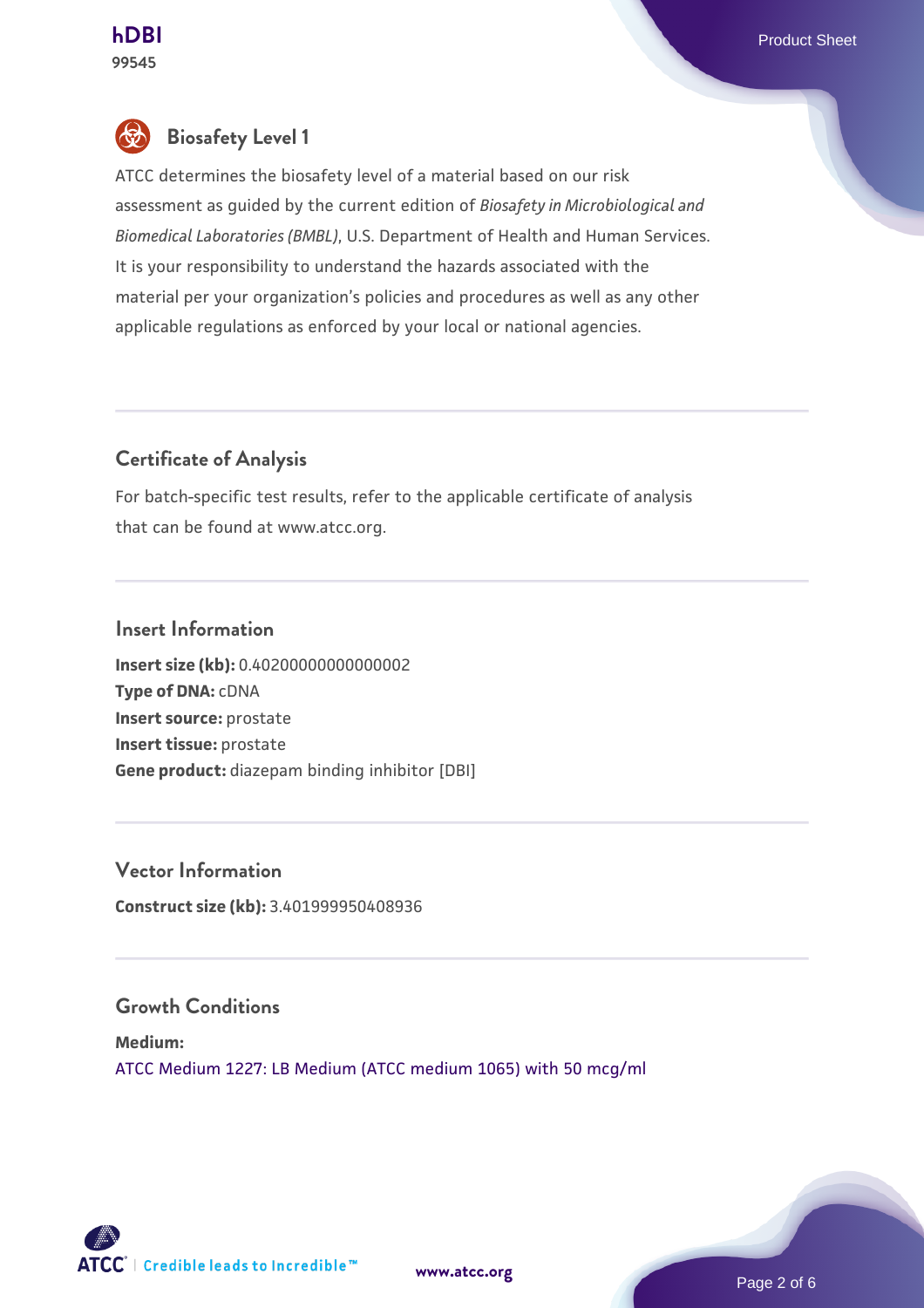

# **Biosafety Level 1**

ATCC determines the biosafety level of a material based on our risk assessment as guided by the current edition of *Biosafety in Microbiological and Biomedical Laboratories (BMBL)*, U.S. Department of Health and Human Services. It is your responsibility to understand the hazards associated with the material per your organization's policies and procedures as well as any other applicable regulations as enforced by your local or national agencies.

# **Certificate of Analysis**

For batch-specific test results, refer to the applicable certificate of analysis that can be found at www.atcc.org.

#### **Insert Information**

**Insert size (kb):** 0.40200000000000002 **Type of DNA:** cDNA **Insert source:** prostate **Insert tissue:** prostate **Gene product:** diazepam binding inhibitor [DBI]

# **Vector Information**

**Construct size (kb):** 3.401999950408936

#### **Growth Conditions**

**Medium:**  [ATCC Medium 1227: LB Medium \(ATCC medium 1065\) with 50 mcg/ml](https://www.atcc.org/-/media/product-assets/documents/microbial-media-formulations/1/2/2/7/atcc-medium-1227.pdf?rev=581c98603b3e4b29a6d62ee0ba9ca578)

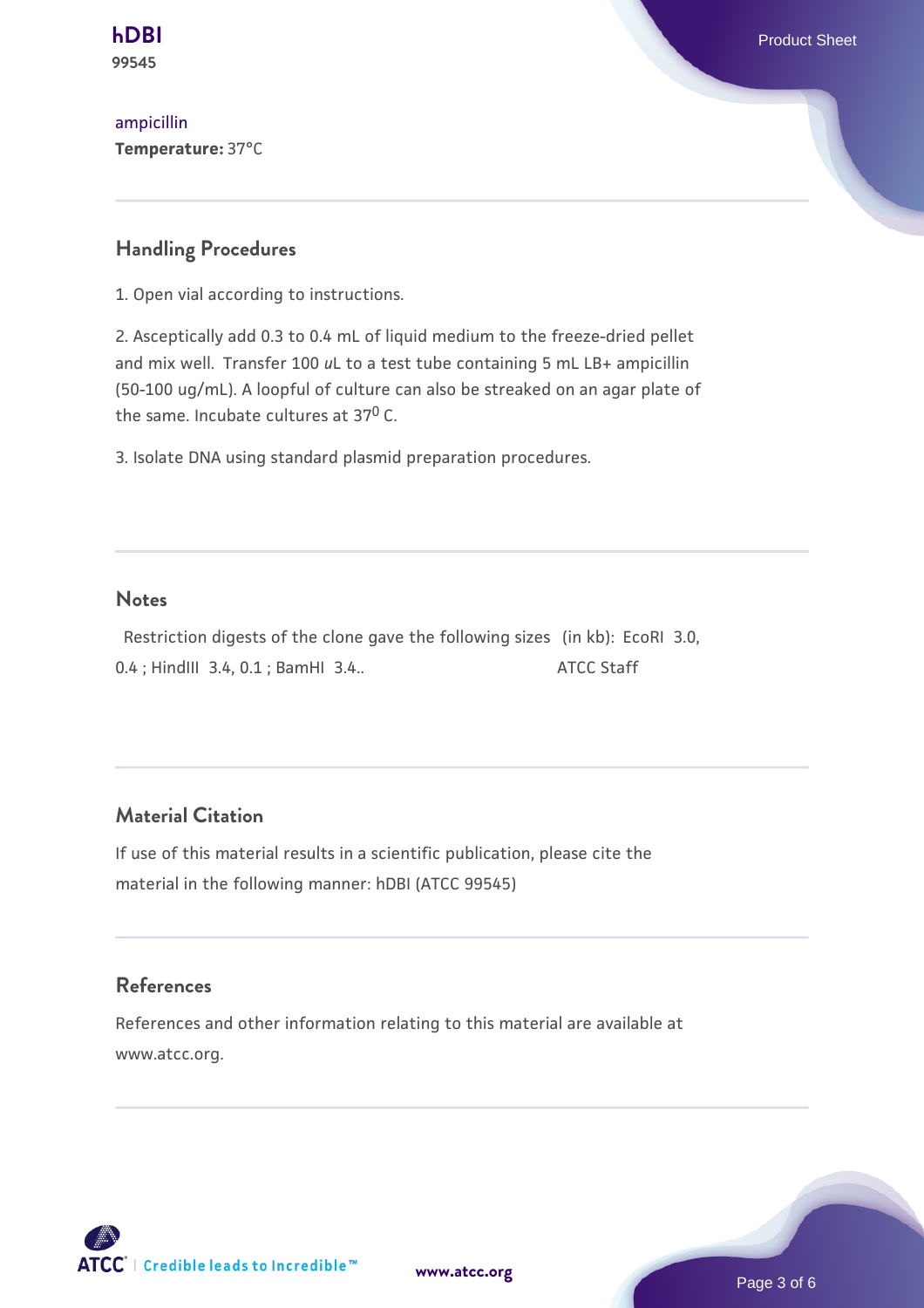

[ampicillin](https://www.atcc.org/-/media/product-assets/documents/microbial-media-formulations/1/2/2/7/atcc-medium-1227.pdf?rev=581c98603b3e4b29a6d62ee0ba9ca578) **Temperature:** 37°C

#### **Handling Procedures**

1. Open vial according to instructions.

2. Asceptically add 0.3 to 0.4 mL of liquid medium to the freeze-dried pellet and mix well. Transfer 100 *u*L to a test tube containing 5 mL LB+ ampicillin (50-100 ug/mL). A loopful of culture can also be streaked on an agar plate of the same. Incubate cultures at 37<sup>0</sup> C.

3. Isolate DNA using standard plasmid preparation procedures.

#### **Notes**

 Restriction digests of the clone gave the following sizes (in kb): EcoRI 3.0, 0.4 ; HindIII 3.4, 0.1 ; BamHI 3.4.. ATCC Staff

#### **Material Citation**

If use of this material results in a scientific publication, please cite the material in the following manner: hDBI (ATCC 99545)

#### **References**

References and other information relating to this material are available at www.atcc.org.

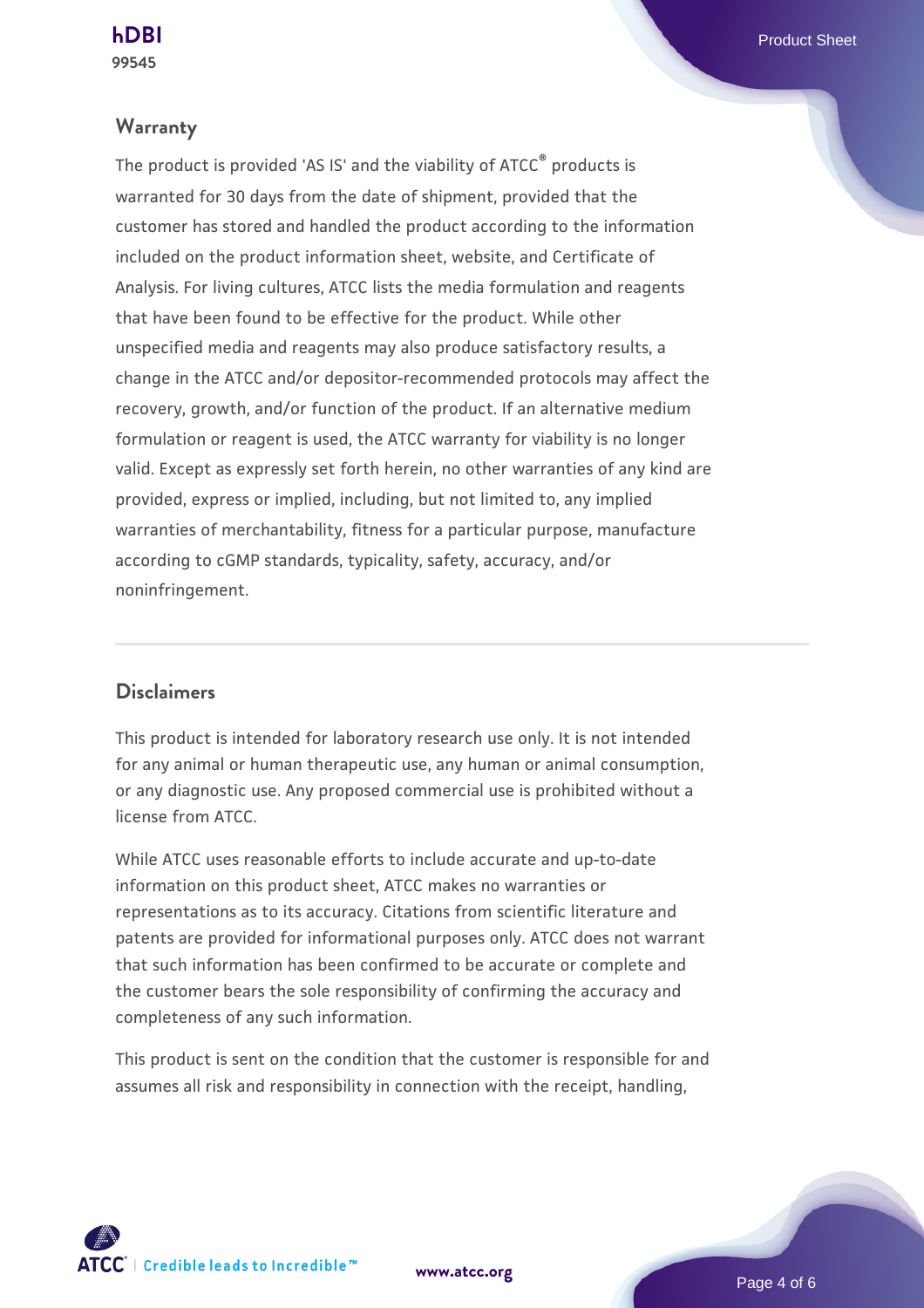#### **Warranty**

The product is provided 'AS IS' and the viability of ATCC® products is warranted for 30 days from the date of shipment, provided that the customer has stored and handled the product according to the information included on the product information sheet, website, and Certificate of Analysis. For living cultures, ATCC lists the media formulation and reagents that have been found to be effective for the product. While other unspecified media and reagents may also produce satisfactory results, a change in the ATCC and/or depositor-recommended protocols may affect the recovery, growth, and/or function of the product. If an alternative medium formulation or reagent is used, the ATCC warranty for viability is no longer valid. Except as expressly set forth herein, no other warranties of any kind are provided, express or implied, including, but not limited to, any implied warranties of merchantability, fitness for a particular purpose, manufacture according to cGMP standards, typicality, safety, accuracy, and/or noninfringement.

#### **Disclaimers**

This product is intended for laboratory research use only. It is not intended for any animal or human therapeutic use, any human or animal consumption, or any diagnostic use. Any proposed commercial use is prohibited without a license from ATCC.

While ATCC uses reasonable efforts to include accurate and up-to-date information on this product sheet, ATCC makes no warranties or representations as to its accuracy. Citations from scientific literature and patents are provided for informational purposes only. ATCC does not warrant that such information has been confirmed to be accurate or complete and the customer bears the sole responsibility of confirming the accuracy and completeness of any such information.

This product is sent on the condition that the customer is responsible for and assumes all risk and responsibility in connection with the receipt, handling,

**[www.atcc.org](http://www.atcc.org)**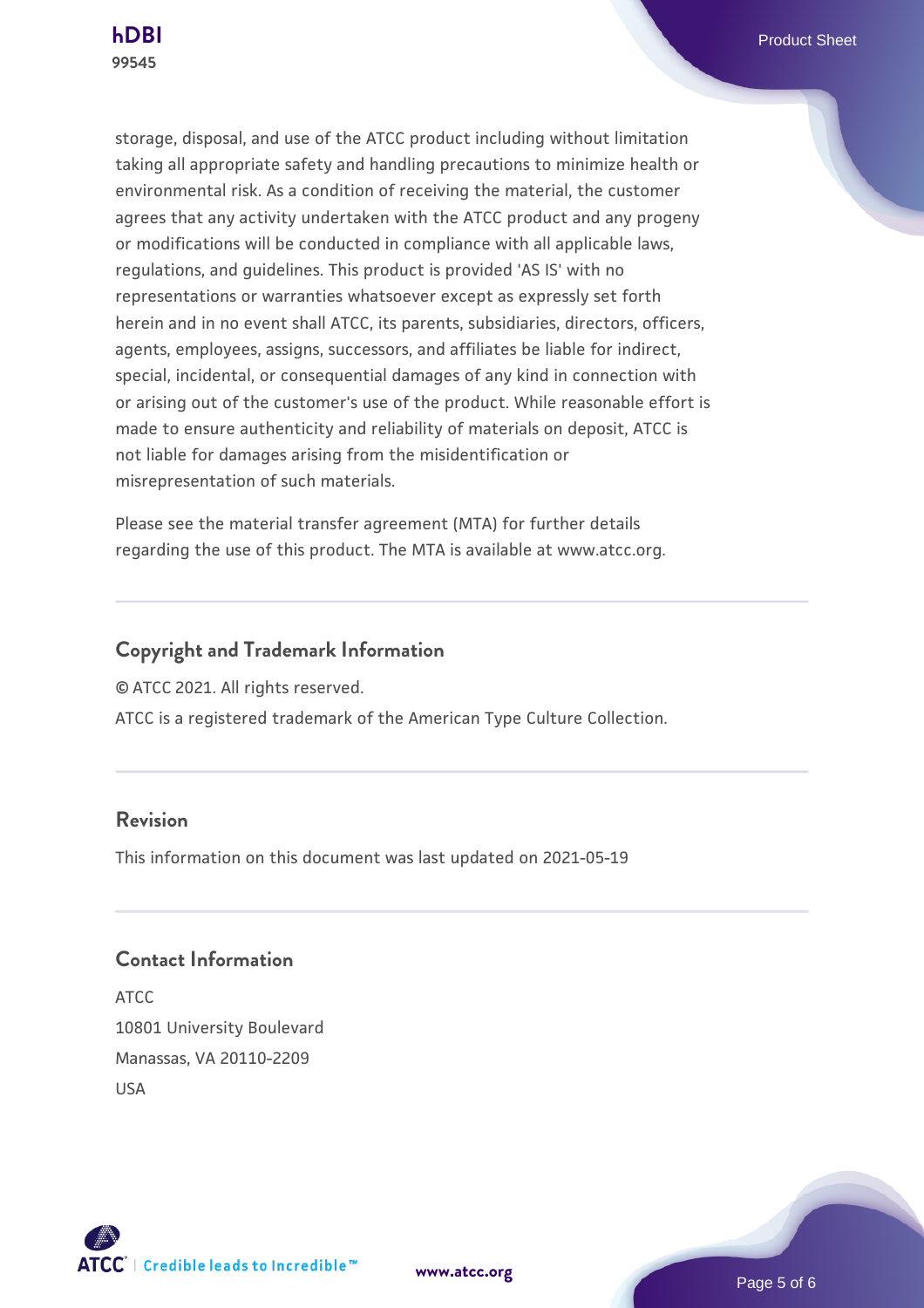

storage, disposal, and use of the ATCC product including without limitation taking all appropriate safety and handling precautions to minimize health or environmental risk. As a condition of receiving the material, the customer agrees that any activity undertaken with the ATCC product and any progeny or modifications will be conducted in compliance with all applicable laws, regulations, and guidelines. This product is provided 'AS IS' with no representations or warranties whatsoever except as expressly set forth herein and in no event shall ATCC, its parents, subsidiaries, directors, officers, agents, employees, assigns, successors, and affiliates be liable for indirect, special, incidental, or consequential damages of any kind in connection with or arising out of the customer's use of the product. While reasonable effort is made to ensure authenticity and reliability of materials on deposit, ATCC is not liable for damages arising from the misidentification or misrepresentation of such materials.

Please see the material transfer agreement (MTA) for further details regarding the use of this product. The MTA is available at www.atcc.org.

# **Copyright and Trademark Information**

© ATCC 2021. All rights reserved.

ATCC is a registered trademark of the American Type Culture Collection.

### **Revision**

This information on this document was last updated on 2021-05-19

### **Contact Information**

ATCC 10801 University Boulevard Manassas, VA 20110-2209 USA